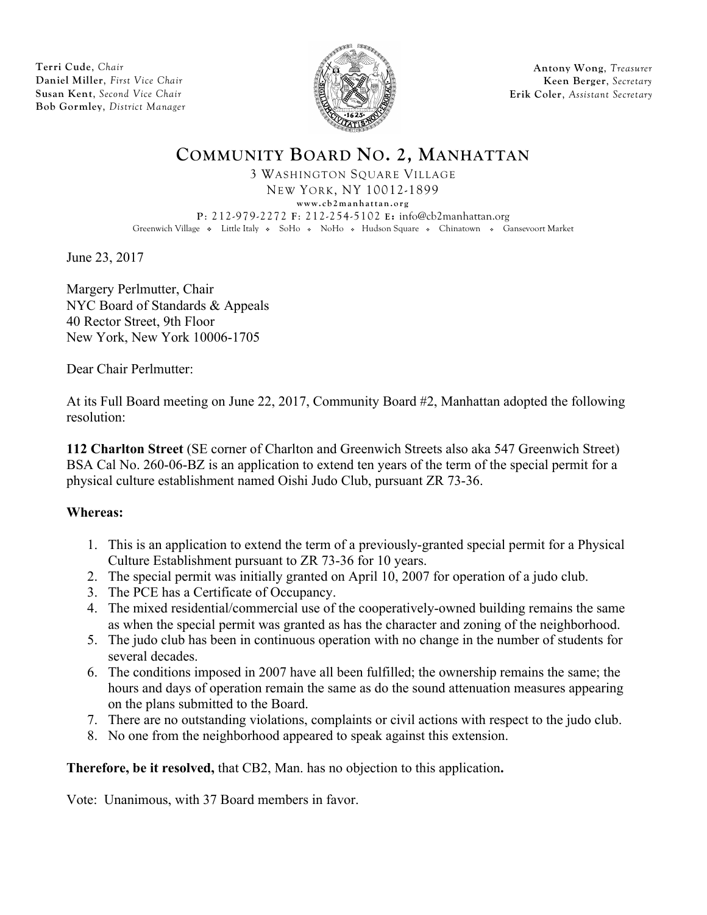**Terri Cude**, *Chair* **Daniel Miller**, *First Vice Chair* **Susan Kent**, *Second Vice Chair* **Bob Gormley**, *District Manager*



**Antony Wong**, *Treasurer* **Keen Berger**, *Secretary* **Erik Coler**, *Assistant Secretary*

# **COMMUNITY BOARD NO. 2, MANHATTAN** 3 WASHINGTON SQUARE VILLAGE

NEW YORK, NY 10012-1899 **www.cb2manhattan.org P**: 212-979-2272 **F**: 212-254-5102 **E:** info@cb2manhattan.org Greenwich Village • Little Italy • SoHo • NoHo • Hudson Square • Chinatown • Gansevoort Market

June 23, 2017

Margery Perlmutter, Chair NYC Board of Standards & Appeals 40 Rector Street, 9th Floor New York, New York 10006-1705

Dear Chair Perlmutter:

At its Full Board meeting on June 22, 2017, Community Board #2, Manhattan adopted the following resolution:

**112 Charlton Street** (SE corner of Charlton and Greenwich Streets also aka 547 Greenwich Street) BSA Cal No. 260-06-BZ is an application to extend ten years of the term of the special permit for a physical culture establishment named Oishi Judo Club, pursuant ZR 73-36.

## **Whereas:**

- 1. This is an application to extend the term of a previously-granted special permit for a Physical Culture Establishment pursuant to ZR 73-36 for 10 years.
- 2. The special permit was initially granted on April 10, 2007 for operation of a judo club.
- 3. The PCE has a Certificate of Occupancy.
- 4. The mixed residential/commercial use of the cooperatively-owned building remains the same as when the special permit was granted as has the character and zoning of the neighborhood.
- 5. The judo club has been in continuous operation with no change in the number of students for several decades.
- 6. The conditions imposed in 2007 have all been fulfilled; the ownership remains the same; the hours and days of operation remain the same as do the sound attenuation measures appearing on the plans submitted to the Board.
- 7. There are no outstanding violations, complaints or civil actions with respect to the judo club.
- 8. No one from the neighborhood appeared to speak against this extension.

**Therefore, be it resolved,** that CB2, Man. has no objection to this application**.** 

Vote: Unanimous, with 37 Board members in favor.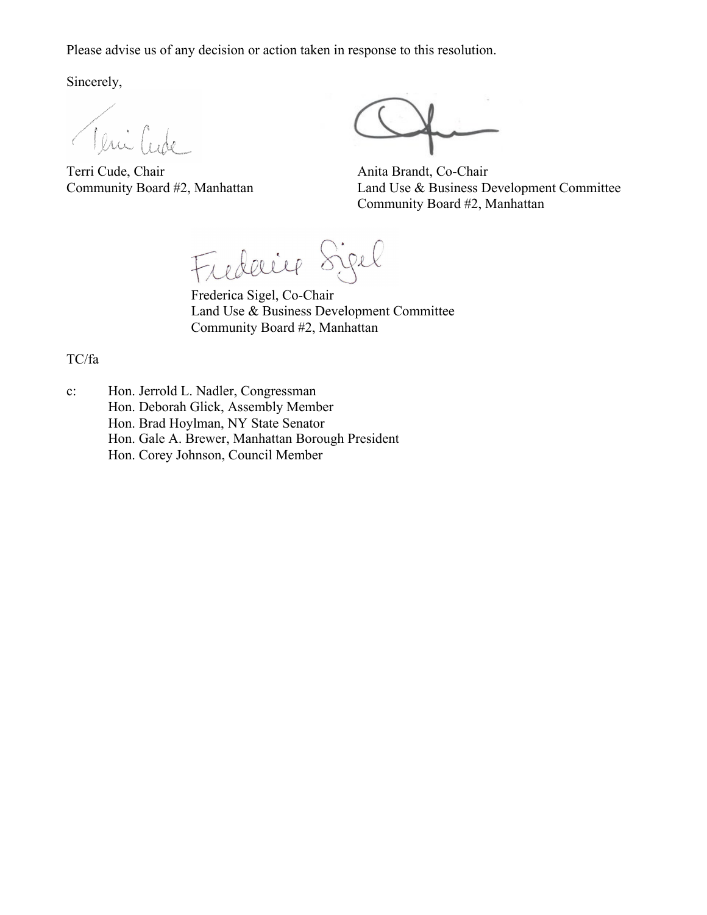Please advise us of any decision or action taken in response to this resolution.

Sincerely,

Teni Cur

Terri Cude, Chair<br>
Community Board #2, Manhattan<br>
Land Use & Business D

Land Use & Business Development Committee Community Board #2, Manhattan

Frederice Sigel

Frederica Sigel, Co-Chair Land Use & Business Development Committee Community Board #2, Manhattan

TC/fa

c: Hon. Jerrold L. Nadler, Congressman Hon. Deborah Glick, Assembly Member Hon. Brad Hoylman, NY State Senator Hon. Gale A. Brewer, Manhattan Borough President Hon. Corey Johnson, Council Member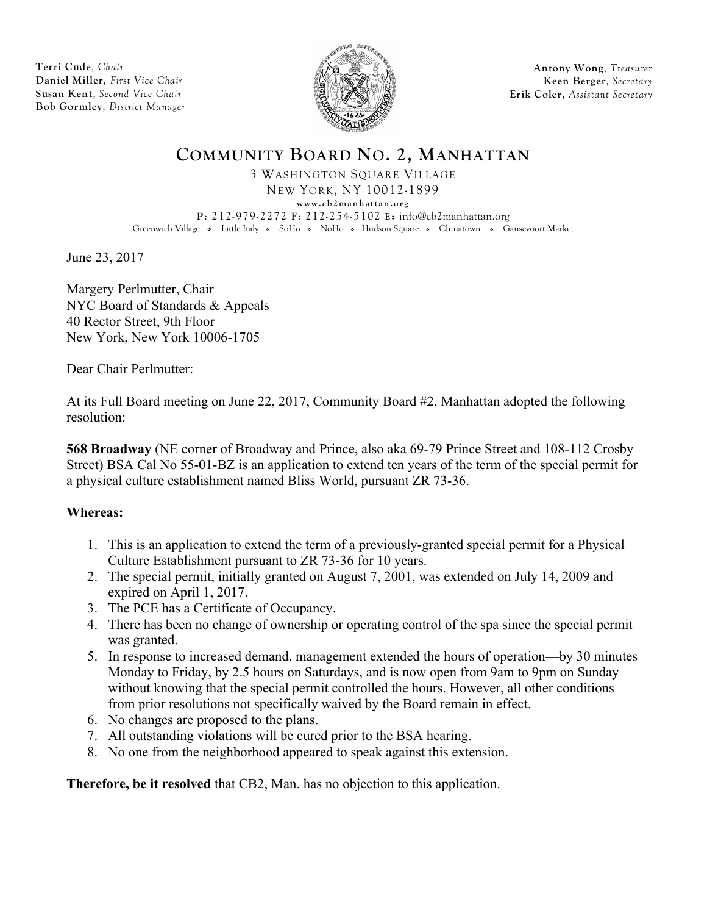**Terri Cude**, *Chair* **Daniel Miller**, *First Vice Chair* **Susan Kent**, *Second Vice Chair* **Bob Gormley**, *District Manager*



**Antony Wong**, *Treasurer* **Keen Berger**, *Secretary* **Erik Coler**, *Assistant Secretary*

# **COMMUNITY BOARD NO. 2, MANHATTAN** 3 WASHINGTON SQUARE VILLAGE

NEW YORK, NY 10012-1899 **www.cb2manhattan.org P**: 212-979-2272 **F**: 212-254-5102 **E:** info@cb2manhattan.org Greenwich Village • Little Italy • SoHo • NoHo • Hudson Square • Chinatown • Gansevoort Market

June 23, 2017

Margery Perlmutter, Chair NYC Board of Standards & Appeals 40 Rector Street, 9th Floor New York, New York 10006-1705

Dear Chair Perlmutter:

At its Full Board meeting on June 22, 2017, Community Board #2, Manhattan adopted the following resolution:

**568 Broadway** (NE corner of Broadway and Prince, also aka 69-79 Prince Street and 108-112 Crosby Street) BSA Cal No 55-01-BZ is an application to extend ten years of the term of the special permit for a physical culture establishment named Bliss World, pursuant ZR 73-36.

## **Whereas:**

- 1. This is an application to extend the term of a previously-granted special permit for a Physical Culture Establishment pursuant to ZR 73-36 for 10 years.
- 2. The special permit, initially granted on August 7, 2001, was extended on July 14, 2009 and expired on April 1, 2017.
- 3. The PCE has a Certificate of Occupancy.
- 4. There has been no change of ownership or operating control of the spa since the special permit was granted.
- 5. In response to increased demand, management extended the hours of operation—by 30 minutes Monday to Friday, by 2.5 hours on Saturdays, and is now open from 9am to 9pm on Sunday without knowing that the special permit controlled the hours. However, all other conditions from prior resolutions not specifically waived by the Board remain in effect.
- 6. No changes are proposed to the plans.
- 7. All outstanding violations will be cured prior to the BSA hearing.
- 8. No one from the neighborhood appeared to speak against this extension.

**Therefore, be it resolved** that CB2, Man. has no objection to this application.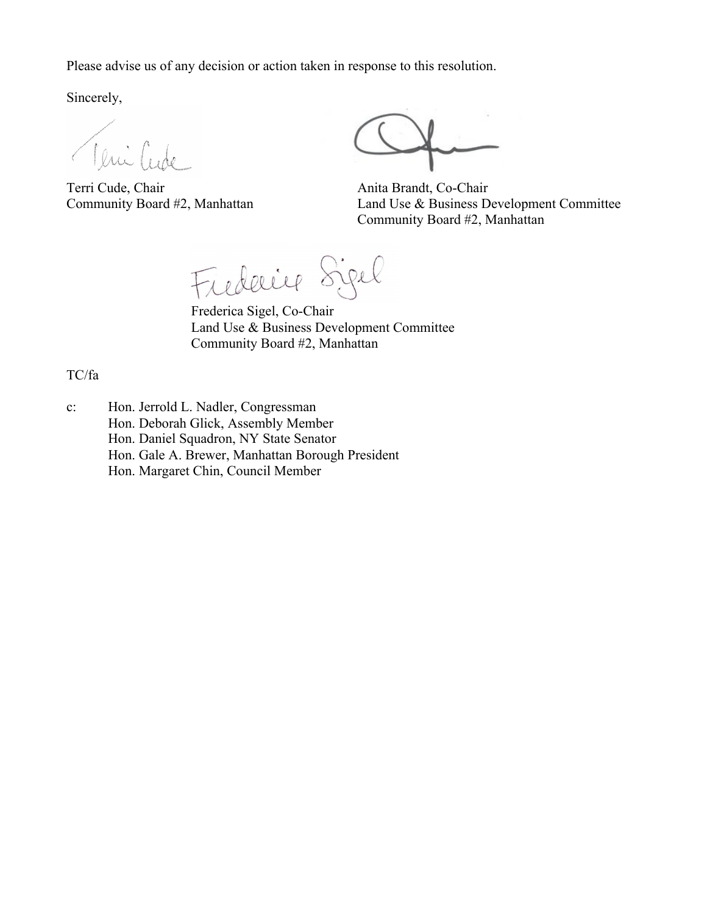Please advise us of any decision or action taken in response to this resolution.

Sincerely,

Teni Cude

Terri Cude, Chair Anita Brandt, Co-Chair

Community Board #2, Manhattan Land Use & Business Development Committee Community Board #2, Manhattan

Frederice Sigel

Frederica Sigel, Co-Chair Land Use & Business Development Committee Community Board #2, Manhattan

TC/fa

c: Hon. Jerrold L. Nadler, Congressman Hon. Deborah Glick, Assembly Member Hon. Daniel Squadron, NY State Senator Hon. Gale A. Brewer, Manhattan Borough President Hon. Margaret Chin, Council Member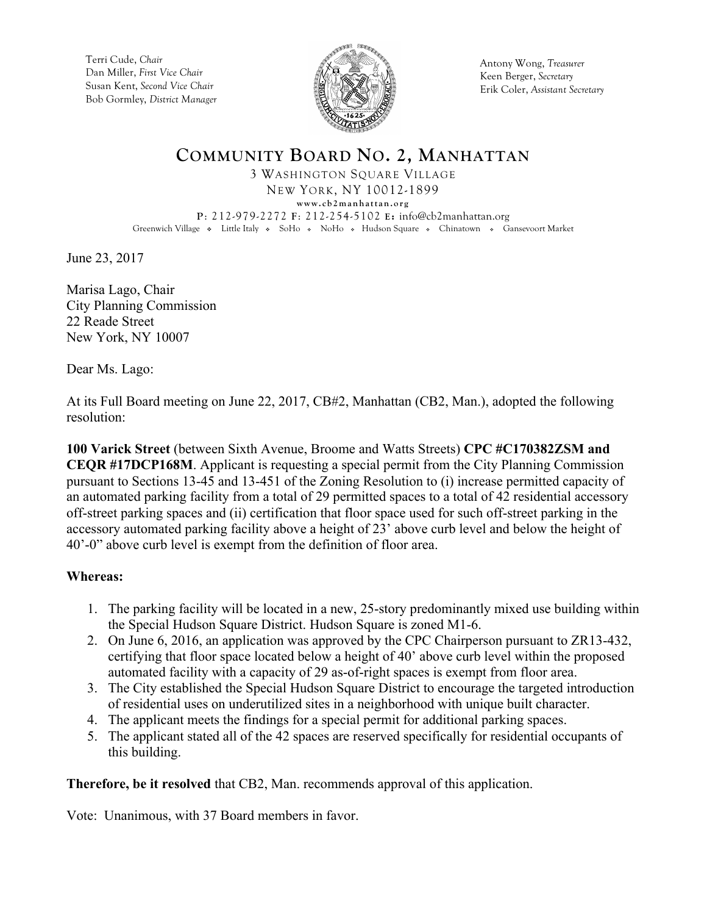Terri Cude, *Chair* Dan Miller, *First Vice Chair* Susan Kent, *Second Vice Chair* Bob Gormley, *District Manager*



Antony Wong, *Treasurer* Keen Berger, *Secretary* Erik Coler, *Assistant Secretary*

### **COMMUNITY BOARD NO. 2, MANHATTAN** 3 WASHINGTON SQUARE VILLAGE NEW YORK, NY 10012-1899 **www.cb2manhattan.org P**: 212-979-2272 **F**: 212-254-5102 **E:** info@cb2manhattan.org Greenwich Village • Little Italy • SoHo • NoHo • Hudson Square • Chinatown • Gansevoort Market

June 23, 2017

Marisa Lago, Chair City Planning Commission 22 Reade Street New York, NY 10007

Dear Ms. Lago:

At its Full Board meeting on June 22, 2017, CB#2, Manhattan (CB2, Man.), adopted the following resolution:

**100 Varick Street** (between Sixth Avenue, Broome and Watts Streets) **CPC #C170382ZSM and CEQR #17DCP168M**. Applicant is requesting a special permit from the City Planning Commission pursuant to Sections 13-45 and 13-451 of the Zoning Resolution to (i) increase permitted capacity of an automated parking facility from a total of 29 permitted spaces to a total of 42 residential accessory off-street parking spaces and (ii) certification that floor space used for such off-street parking in the accessory automated parking facility above a height of 23' above curb level and below the height of 40'-0" above curb level is exempt from the definition of floor area.

## **Whereas:**

- 1. The parking facility will be located in a new, 25-story predominantly mixed use building within the Special Hudson Square District. Hudson Square is zoned M1-6.
- 2. On June 6, 2016, an application was approved by the CPC Chairperson pursuant to ZR13-432, certifying that floor space located below a height of 40' above curb level within the proposed automated facility with a capacity of 29 as-of-right spaces is exempt from floor area.
- 3. The City established the Special Hudson Square District to encourage the targeted introduction of residential uses on underutilized sites in a neighborhood with unique built character.
- 4. The applicant meets the findings for a special permit for additional parking spaces.
- 5. The applicant stated all of the 42 spaces are reserved specifically for residential occupants of this building.

**Therefore, be it resolved** that CB2, Man. recommends approval of this application.

Vote: Unanimous, with 37 Board members in favor.